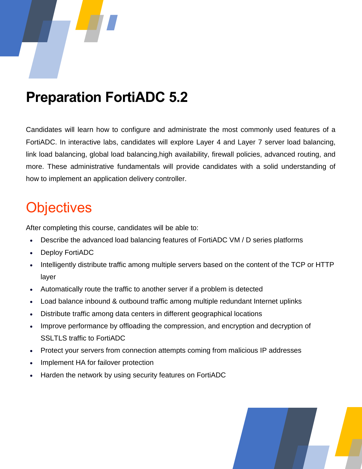

## **Preparation FortiADC 5.2**

Candidates will learn how to configure and administrate the most commonly used features of a FortiADC. In interactive labs, candidates will explore Layer 4 and Layer 7 server load balancing, link load balancing, global load balancing,high availability, firewall policies, advanced routing, and more. These administrative fundamentals will provide candidates with a solid understanding of how to implement an application delivery controller.

## **Objectives**

After completing this course, candidates will be able to:

- Describe the advanced load balancing features of FortiADC VM / D series platforms
- Deploy FortiADC
- Intelligently distribute traffic among multiple servers based on the content of the TCP or HTTP layer
- Automatically route the traffic to another server if a problem is detected
- Load balance inbound & outbound traffic among multiple redundant Internet uplinks
- Distribute traffic among data centers in different geographical locations
- Improve performance by offloading the compression, and encryption and decryption of SSLTLS traffic to FortiADC
- Protect your servers from connection attempts coming from malicious IP addresses
- Implement HA for failover protection
- Harden the network by using security features on FortiADC